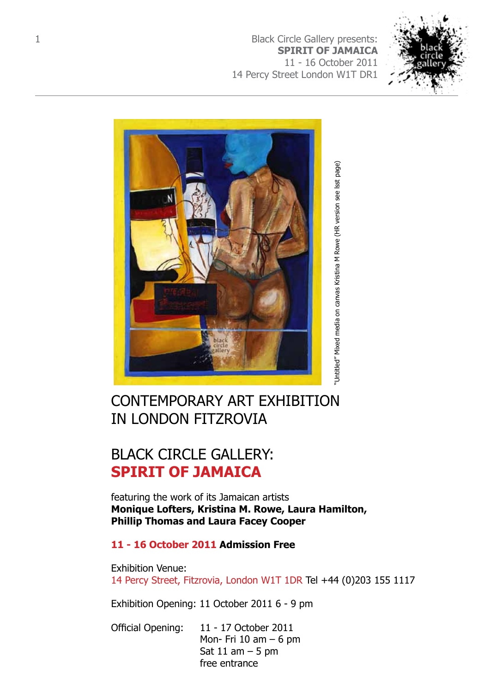1 **[Black Circle Gallery presents:](http://www.blackcirclegallery.com) SPIRIT OF JAMAICA** 11 - 16 October 2011 [14 Percy Street London W1T DR1](http://www.gallerydifferent.co.uk)





# CONTEMPORARY ART EXHIBITION IN LONDON FITZROVIA

# BLACK CIRCLE GALLERY: **SPIRIT OF JAMAICA**

featuring the work of its Jamaican artists **Monique Lofters, Kristina M. Rowe, Laura Hamilton, Phillip Thomas and Laura Facey Cooper**

### **11 - 16 October 2011 Admission Free**

Exhibition Venue: 14 Percy Street, Fitzrovia, London W1T 1DR Tel +44 (0)203 155 1117

Exhibition Opening: 11 October 2011 6 - 9 pm

Official Opening: 11 - 17 October 2011 Mon- Fri  $10$  am  $-6$  pm Sat  $11$  am  $-5$  pm free entrance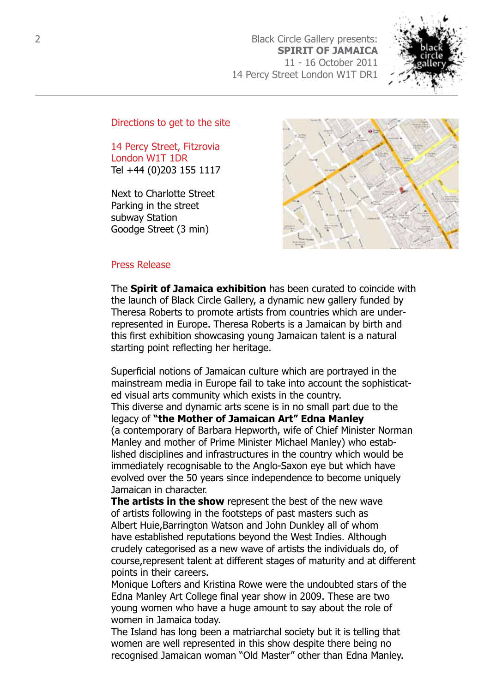2 [Black Circle Gallery presents:](http://www.blackcirclegallery.com)  **SPIRIT OF JAMAICA** 11 - 16 October 2011 [14 Percy Street London W1T DR1](http://www.gallerydifferent.co.uk)



Directions to get to the site

14 Percy Street, Fitzrovia London W1T 1DR Tel +44 (0)203 155 1117

Next to Charlotte Street Parking in the street subway Station Goodge Street (3 min)



#### Press Release

The **Spirit of Jamaica exhibition** has been curated to coincide with the launch of Black Circle Gallery, a dynamic new gallery funded by Theresa Roberts to promote artists from countries which are underrepresented in Europe. Theresa Roberts is a Jamaican by birth and this first exhibition showcasing young Jamaican talent is a natural starting point reflecting her heritage.

Superficial notions of Jamaican culture which are portrayed in the mainstream media in Europe fail to take into account the sophisticated visual arts community which exists in the country. This diverse and dynamic arts scene is in no small part due to the legacy of **"the Mother of Jamaican Art" Edna Manley** (a contemporary of Barbara Hepworth, wife of Chief Minister Norman Manley and mother of Prime Minister Michael Manley) who established disciplines and infrastructures in the country which would be immediately recognisable to the Anglo-Saxon eye but which have evolved over the 50 years since independence to become uniquely Jamaican in character.

**The artists in the show** represent the best of the new wave of artists following in the footsteps of past masters such as Albert Huie,Barrington Watson and John Dunkley all of whom have established reputations beyond the West Indies. Although crudely categorised as a new wave of artists the individuals do, of course,represent talent at different stages of maturity and at different points in their careers.

Monique Lofters and Kristina Rowe were the undoubted stars of the Edna Manley Art College final year show in 2009. These are two young women who have a huge amount to say about the role of women in Jamaica today.

The Island has long been a matriarchal society but it is telling that women are well represented in this show despite there being no recognised Jamaican woman "Old Master" other than Edna Manley.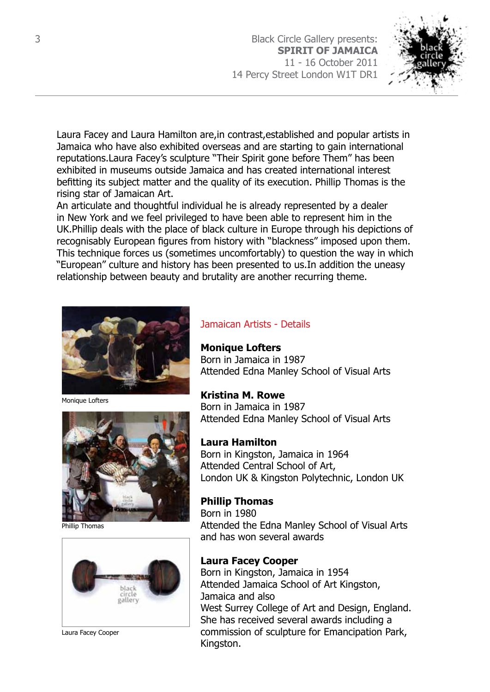3 [Black Circle Gallery presents:](http://www.blackcirclegallery.com)  **SPIRIT OF JAMAICA** 11 - 16 October 2011 [14 Percy Street London W1T DR1](http://www.gallerydifferent.co.uk)



Laura Facey and Laura Hamilton are,in contrast,established and popular artists in Jamaica who have also exhibited overseas and are starting to gain international reputations.Laura Facey's sculpture "Their Spirit gone before Them" has been exhibited in museums outside Jamaica and has created international interest befitting its subject matter and the quality of its execution. Phillip Thomas is the rising star of Jamaican Art.

An articulate and thoughtful individual he is already represented by a dealer in New York and we feel privileged to have been able to represent him in the UK.Phillip deals with the place of black culture in Europe through his depictions of recognisably European figures from history with "blackness" imposed upon them. This technique forces us (sometimes uncomfortably) to question the way in which "European" culture and history has been presented to us.In addition the uneasy relationship between beauty and brutality are another recurring theme.



Monique Lofters



Phillip Thomas



Laura Facey Cooper

### Jamaican Artists - Details

#### **Monique Lofters**

Born in Jamaica in 1987 Attended Edna Manley School of Visual Arts

**Kristina M. Rowe** Born in Jamaica in 1987 Attended Edna Manley School of Visual Arts

### **Laura Hamilton**

Born in Kingston, Jamaica in 1964 Attended Central School of Art, London UK & Kingston Polytechnic, London UK

**Phillip Thomas** Born in 1980 Attended the Edna Manley School of Visual Arts and has won several awards

### **Laura Facey Cooper**

Born in Kingston, Jamaica in 1954 Attended Jamaica School of Art Kingston, Jamaica and also West Surrey College of Art and Design, England. She has received several awards including a commission of sculpture for Emancipation Park, Kingston.